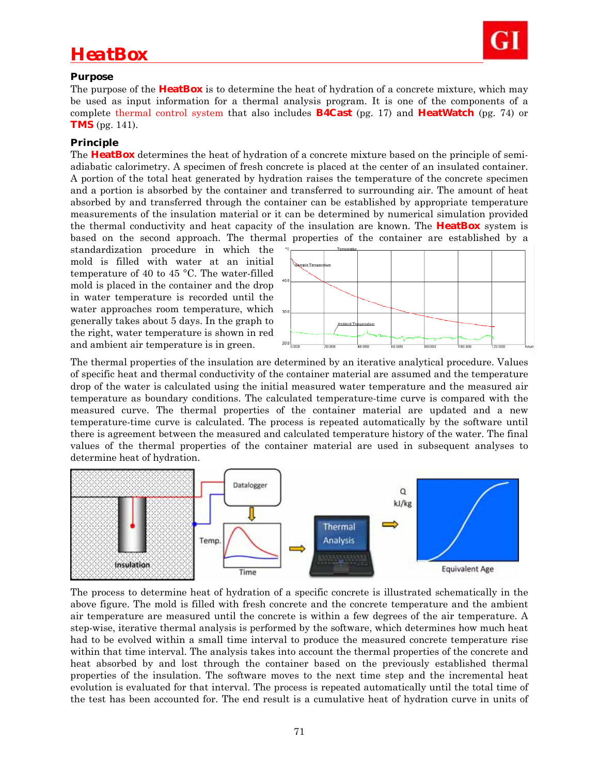

# *HeatBox*

## **Purpose**

The purpose of the **HeatBox** is to determine the heat of hydration of a concrete mixture, which may be used as input information for a thermal analysis program. It is one of the components of a complete thermal control system that also includes **B4Cast** (pg. 17) and **HeatWatch** (pg. 74) or **TMS** (pg. 141).

## **Principle**

The **HeatBox** determines the heat of hydration of a concrete mixture based on the principle of semiadiabatic calorimetry. A specimen of fresh concrete is placed at the center of an insulated container. A portion of the total heat generated by hydration raises the temperature of the concrete specimen and a portion is absorbed by the container and transferred to surrounding air. The amount of heat absorbed by and transferred through the container can be established by appropriate temperature measurements of the insulation material or it can be determined by numerical simulation provided the thermal conductivity and heat capacity of the insulation are known. The **HeatBox** system is based on the second approach. The thermal properties of the container are established by a

standardization procedure in which the mold is filled with water at an initial temperature of 40 to 45 °C. The water-filled mold is placed in the container and the drop in water temperature is recorded until the water approaches room temperature, which generally takes about 5 days. In the graph to the right, water temperature is shown in red and ambient air temperature is in green.



The thermal properties of the insulation are determined by an iterative analytical procedure. Values of specific heat and thermal conductivity of the container material are assumed and the temperature drop of the water is calculated using the initial measured water temperature and the measured air temperature as boundary conditions. The calculated temperature-time curve is compared with the measured curve. The thermal properties of the container material are updated and a new temperature-time curve is calculated. The process is repeated automatically by the software until there is agreement between the measured and calculated temperature history of the water. The final values of the thermal properties of the container material are used in subsequent analyses to determine heat of hydration.



The process to determine heat of hydration of a specific concrete is illustrated schematically in the above figure. The mold is filled with fresh concrete and the concrete temperature and the ambient air temperature are measured until the concrete is within a few degrees of the air temperature. A step-wise, iterative thermal analysis is performed by the software, which determines how much heat had to be evolved within a small time interval to produce the measured concrete temperature rise within that time interval. The analysis takes into account the thermal properties of the concrete and heat absorbed by and lost through the container based on the previously established thermal properties of the insulation. The software moves to the next time step and the incremental heat evolution is evaluated for that interval. The process is repeated automatically until the total time of the test has been accounted for. The end result is a cumulative heat of hydration curve in units of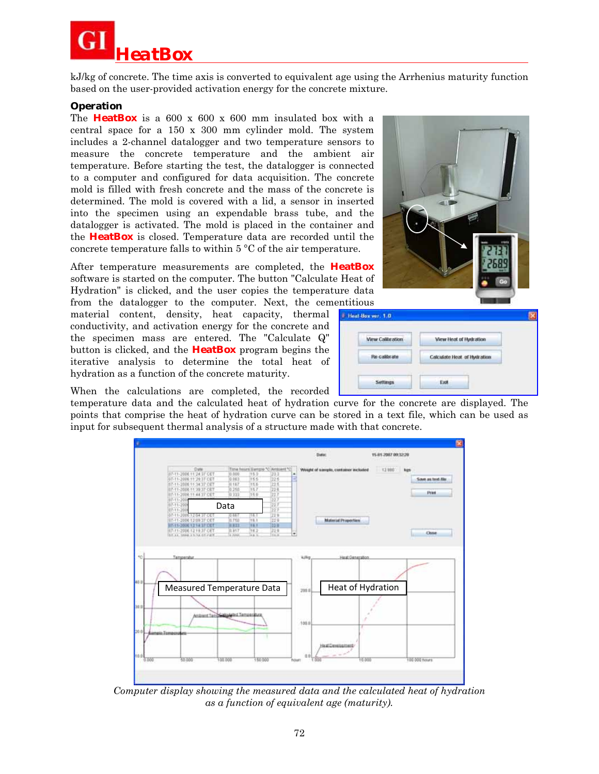*HeatBox*

kJ/kg of concrete. The time axis is converted to equivalent age using the Arrhenius maturity function based on the user-provided activation energy for the concrete mixture.

#### **Operation**

The **HeatBox** is a 600 x 600 x 600 mm insulated box with a central space for a 150 x 300 mm cylinder mold. The system includes a 2-channel datalogger and two temperature sensors to measure the concrete temperature and the ambient air temperature. Before starting the test, the datalogger is connected to a computer and configured for data acquisition. The concrete mold is filled with fresh concrete and the mass of the concrete is determined. The mold is covered with a lid, a sensor in inserted into the specimen using an expendable brass tube, and the datalogger is activated. The mold is placed in the container and the **HeatBox** is closed. Temperature data are recorded until the concrete temperature falls to within 5 °C of the air temperature.

After temperature measurements are completed, the **HeatBox**  software is started on the computer. The button "Calculate Heat of Hydration" is clicked, and the user copies the temperature data from the datalogger to the computer. Next, the cementitious

material content, density, heat capacity, thermal conductivity, and activation energy for the concrete and the specimen mass are entered. The "Calculate Q" button is clicked, and the **HeatBox** program begins the iterative analysis to determine the total heat of hydration as a function of the concrete maturity.

When the calculations are completed, the recorded

temperature data and the calculated heat of hydration curve for the concrete are displayed. The points that comprise the heat of hydration curve can be stored in a text file, which can be used as input for subsequent thermal analysis of a structure made with that concrete.



*Computer display showing the measured data and the calculated heat of hydration as a function of equivalent age (maturity).* 



| <b>Wew Calibration</b> | View Heat of Hydration      |
|------------------------|-----------------------------|
| <b>Ru-calbrate</b>     | Calculate Heat of Hydration |
| Settings               | Exit                        |